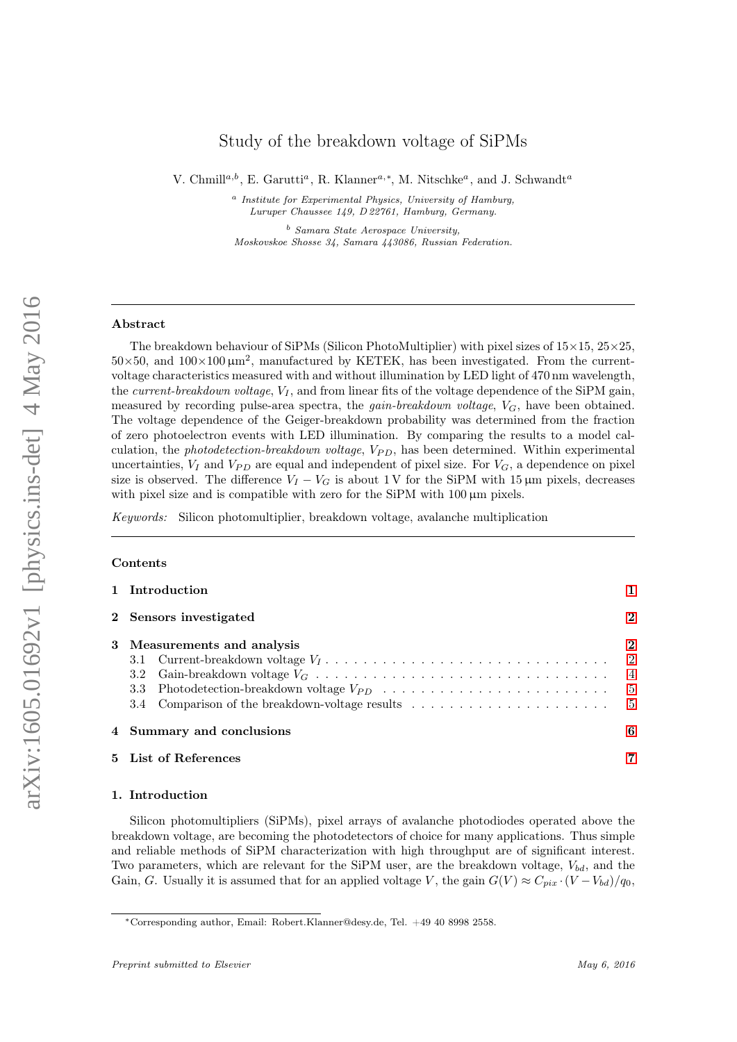# Study of the breakdown voltage of SiPMs

V. Chmill<sup>a,b</sup>, E. Garutti<sup>a</sup>, R. Klanner<sup>a,\*</sup>, M. Nitschke<sup>a</sup>, and J. Schwandt<sup>a</sup>

<sup>a</sup> Institute for Experimental Physics, University of Hamburg, Luruper Chaussee 149, D 22761, Hamburg, Germany.

<sup>b</sup> Samara State Aerospace University, Moskovskoe Shosse 34, Samara 443086, Russian Federation.

### Abstract

The breakdown behaviour of SiPMs (Silicon PhotoMultiplier) with pixel sizes of  $15\times15$ ,  $25\times25$ .  $50\times50$ , and  $100\times100 \,\mu m^2$ , manufactured by KETEK, has been investigated. From the currentvoltage characteristics measured with and without illumination by LED light of 470 nm wavelength, the *current-breakdown voltage*,  $V_I$ , and from linear fits of the voltage dependence of the SiPM gain, measured by recording pulse-area spectra, the *gain-breakdown voltage*,  $V_G$ , have been obtained. The voltage dependence of the Geiger-breakdown probability was determined from the fraction of zero photoelectron events with LED illumination. By comparing the results to a model calculation, the photodetection-breakdown voltage,  $V_{PD}$ , has been determined. Within experimental uncertainties,  $V_I$  and  $V_{PD}$  are equal and independent of pixel size. For  $V_G$ , a dependence on pixel size is observed. The difference  $V_I - V_G$  is about 1 V for the SiPM with 15 µm pixels, decreases with pixel size and is compatible with zero for the SiPM with 100  $\mu$ m pixels.

Keywords: Silicon photomultiplier, breakdown voltage, avalanche multiplication

# Contents

| 1 Introduction                                                                                                                   |          |  |  |  |  |  |
|----------------------------------------------------------------------------------------------------------------------------------|----------|--|--|--|--|--|
| 2 Sensors investigated                                                                                                           |          |  |  |  |  |  |
| 3 Measurements and analysis<br>3.4 Comparison of the breakdown-voltage results $\dots \dots \dots \dots \dots \dots \dots \dots$ | $\bf{2}$ |  |  |  |  |  |
| 4 Summary and conclusions                                                                                                        |          |  |  |  |  |  |
| 5 List of References                                                                                                             |          |  |  |  |  |  |

### <span id="page-0-0"></span>1. Introduction

Silicon photomultipliers (SiPMs), pixel arrays of avalanche photodiodes operated above the breakdown voltage, are becoming the photodetectors of choice for many applications. Thus simple and reliable methods of SiPM characterization with high throughput are of significant interest. Two parameters, which are relevant for the SiPM user, are the breakdown voltage,  $V_{bd}$ , and the Gain, G. Usually it is assumed that for an applied voltage V, the gain  $G(V) \approx C_{pix} \cdot (V - V_{bd})/q_0$ ,

<sup>∗</sup>Corresponding author, Email: Robert.Klanner@desy.de, Tel. +49 40 8998 2558.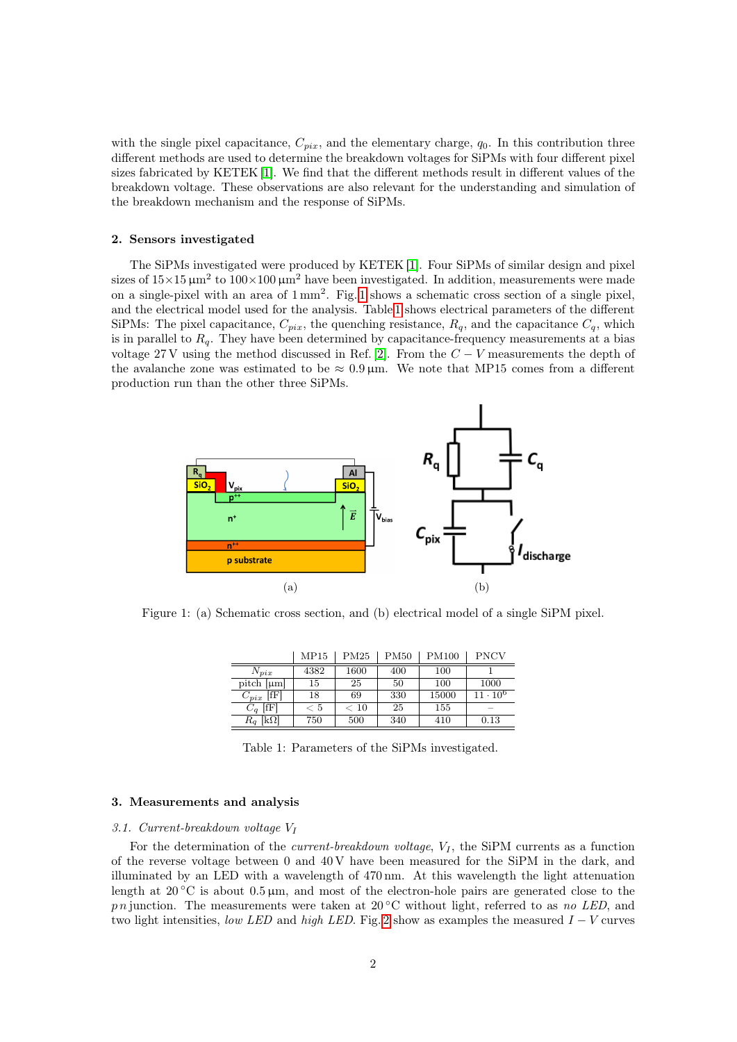with the single pixel capacitance,  $C_{pix}$ , and the elementary charge,  $q_0$ . In this contribution three different methods are used to determine the breakdown voltages for SiPMs with four different pixel sizes fabricated by KETEK [\[1\]](#page-6-1). We find that the different methods result in different values of the breakdown voltage. These observations are also relevant for the understanding and simulation of the breakdown mechanism and the response of SiPMs.

### <span id="page-1-0"></span>2. Sensors investigated

The SiPMs investigated were produced by KETEK [\[1\]](#page-6-1). Four SiPMs of similar design and pixel sizes of  $15 \times 15 \mu m^2$  to  $100 \times 100 \mu m^2$  have been investigated. In addition, measurements were made on a single-pixel with an area of  $1 \text{ mm}^2$ . Fig. [1](#page-1-3) shows a schematic cross section of a single pixel, and the electrical model used for the analysis. Table [1](#page-1-4) shows electrical parameters of the different SiPMs: The pixel capacitance,  $C_{pix}$ , the quenching resistance,  $R_q$ , and the capacitance  $C_q$ , which is in parallel to  $R_q$ . They have been determined by capacitance-frequency measurements at a bias voltage 27 V using the method discussed in Ref. [\[2\]](#page-6-2). From the  $C - V$  measurements the depth of the avalanche zone was estimated to be  $\approx 0.9 \,\mu$ m. We note that MP15 comes from a different production run than the other three SiPMs.

<span id="page-1-3"></span>

<span id="page-1-4"></span>Figure 1: (a) Schematic cross section, and (b) electrical model of a single SiPM pixel.

|                   | MP15   | PM25     | <b>PM50</b> | <b>PM100</b> | <b>PNCV</b>     |
|-------------------|--------|----------|-------------|--------------|-----------------|
| $N_{pix}$         | 4382   | 1600     | 400         | 100          |                 |
| pitch $[\mu m]$   | 15     | 25       | 50          | 100          | 1000            |
| [ff]<br>$C_{pix}$ | 18     | 69       | 330         | 15000        | $11 \cdot 10^6$ |
| [fF]<br>$C_q$     | $<\,5$ | $< 10\,$ | 25          | 155          |                 |
| $R_q$ [kΩ]        | 750    | 500      | 340         | 410          | 0.13            |

Table 1: Parameters of the SiPMs investigated.

### <span id="page-1-1"></span>3. Measurements and analysis

### <span id="page-1-2"></span>3.1. Current-breakdown voltage V<sup>I</sup>

For the determination of the *current-breakdown voltage*,  $V_I$ , the SiPM currents as a function of the reverse voltage between 0 and 40 V have been measured for the SiPM in the dark, and illuminated by an LED with a wavelength of 470 nm. At this wavelength the light attenuation length at  $20\degree\text{C}$  is about  $0.5\,\mu\text{m}$ , and most of the electron-hole pairs are generated close to the p n junction. The measurements were taken at 20 $\degree$ C without light, referred to as no LED, and two light intensities, low LED and high LED. Fig. [2](#page-2-0) show as examples the measured  $I - V$  curves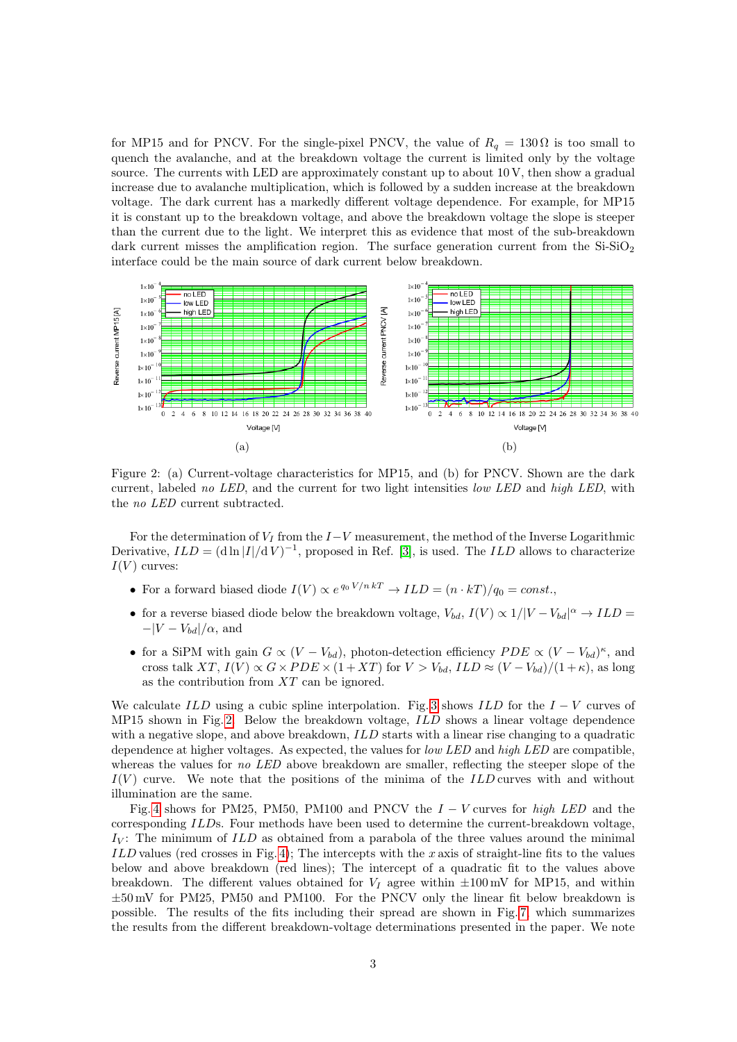for MP15 and for PNCV. For the single-pixel PNCV, the value of  $R_q = 130 \Omega$  is too small to quench the avalanche, and at the breakdown voltage the current is limited only by the voltage source. The currents with LED are approximately constant up to about 10 V, then show a gradual increase due to avalanche multiplication, which is followed by a sudden increase at the breakdown voltage. The dark current has a markedly different voltage dependence. For example, for MP15 it is constant up to the breakdown voltage, and above the breakdown voltage the slope is steeper than the current due to the light. We interpret this as evidence that most of the sub-breakdown dark current misses the amplification region. The surface generation current from the  $Si-SiO<sub>2</sub>$ interface could be the main source of dark current below breakdown.

<span id="page-2-0"></span>

Figure 2: (a) Current-voltage characteristics for MP15, and (b) for PNCV. Shown are the dark current, labeled no LED, and the current for two light intensities low LED and high LED, with the no LED current subtracted.

For the determination of  $V_I$  from the  $I-V$  measurement, the method of the Inverse Logarithmic Derivative,  $ILD = (\mathrm{d} \ln |I|/\mathrm{d} V)^{-1}$ , proposed in Ref. [\[3\]](#page-6-3), is used. The *ILD* allows to characterize  $I(V)$  curves:

- For a forward biased diode  $I(V) \propto e^{q_0 V/n kT} \to ILD = (n \cdot kT)/q_0 = const.$
- for a reverse biased diode below the breakdown voltage,  $V_{bd}$ ,  $I(V) \propto 1/|V V_{bd}|^{\alpha} \rightarrow ILD$  $-|V - V_{bd}|/\alpha$ , and
- for a SiPM with gain  $G \propto (V V_{bd})$ , photon-detection efficiency  $PDE \propto (V V_{bd})^{\kappa}$ , and cross talk XT,  $I(V) \propto G \times PDE \times (1+XT)$  for  $V > V_{bd}$ ,  $ILD \approx (V - V_{bd})/(1+\kappa)$ , as long as the contribution from XT can be ignored.

We calculate ILD using a cubic spline interpolation. Fig. [3](#page-3-1) shows ILD for the  $I - V$  curves of MP15 shown in Fig. [2.](#page-2-0) Below the breakdown voltage, ILD shows a linear voltage dependence with a negative slope, and above breakdown, ILD starts with a linear rise changing to a quadratic dependence at higher voltages. As expected, the values for low LED and high LED are compatible, whereas the values for no LED above breakdown are smaller, reflecting the steeper slope of the  $I(V)$  curve. We note that the positions of the minima of the ILD curves with and without illumination are the same.

Fig. [4](#page-3-2) shows for PM25, PM50, PM100 and PNCV the  $I - V$  curves for high LED and the corresponding ILDs. Four methods have been used to determine the current-breakdown voltage,  $I_V$ : The minimum of  $ILD$  as obtained from a parabola of the three values around the minimal ILD values (red crosses in Fig. [4\)](#page-3-2); The intercepts with the x axis of straight-line fits to the values below and above breakdown (red lines); The intercept of a quadratic fit to the values above breakdown. The different values obtained for  $V_I$  agree within  $\pm 100$  mV for MP15, and within ±50 mV for PM25, PM50 and PM100. For the PNCV only the linear fit below breakdown is possible. The results of the fits including their spread are shown in Fig. [7,](#page-5-1) which summarizes the results from the different breakdown-voltage determinations presented in the paper. We note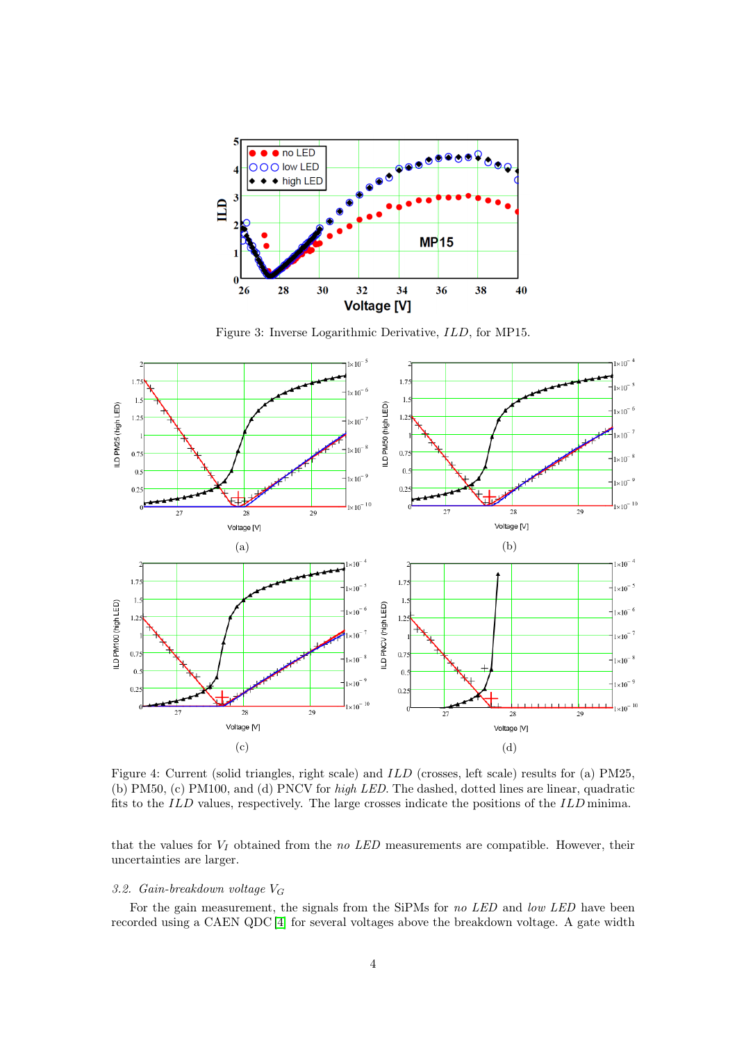<span id="page-3-1"></span>

Figure 3: Inverse Logarithmic Derivative, ILD, for MP15.

<span id="page-3-2"></span>

Figure 4: Current (solid triangles, right scale) and ILD (crosses, left scale) results for (a) PM25, (b) PM50, (c) PM100, and (d) PNCV for high LED. The dashed, dotted lines are linear, quadratic fits to the ILD values, respectively. The large crosses indicate the positions of the ILD minima.

that the values for  $V_I$  obtained from the no LED measurements are compatible. However, their uncertainties are larger.

# <span id="page-3-0"></span>3.2. Gain-breakdown voltage  $V_G$

For the gain measurement, the signals from the SiPMs for no LED and low LED have been recorded using a CAEN QDC [\[4\]](#page-6-4) for several voltages above the breakdown voltage. A gate width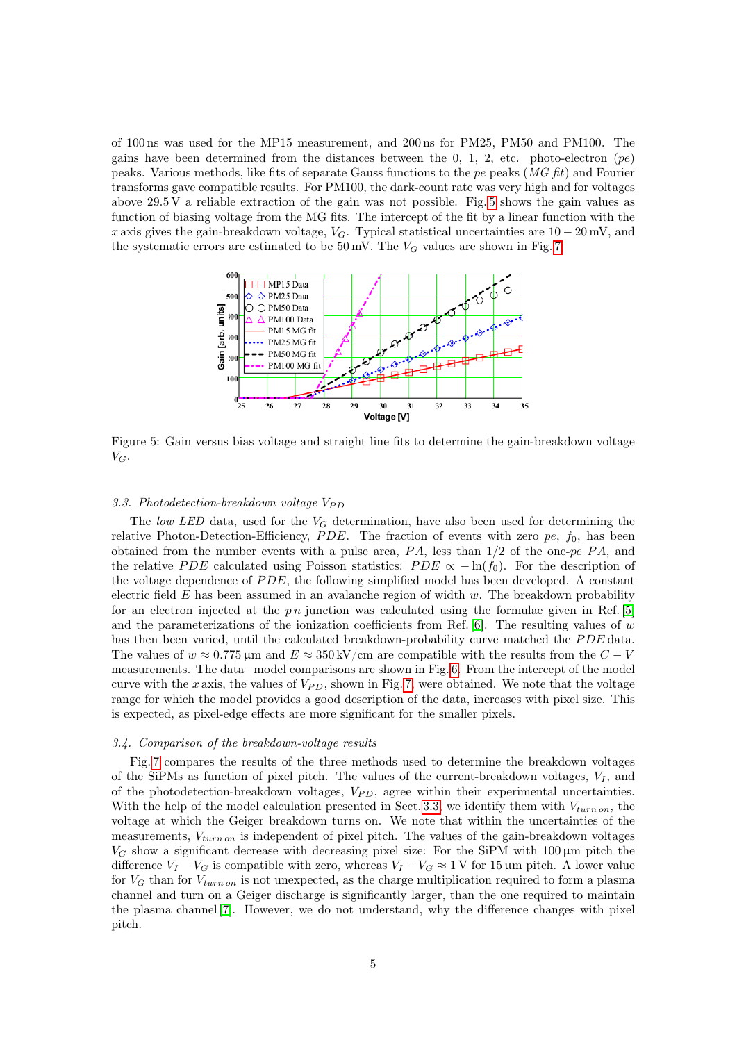of 100 ns was used for the MP15 measurement, and 200 ns for PM25, PM50 and PM100. The gains have been determined from the distances between the 0, 1, 2, etc. photo-electron  $(pe)$ peaks. Various methods, like fits of separate Gauss functions to the pe peaks  $(MG \text{ fit})$  and Fourier transforms gave compatible results. For PM100, the dark-count rate was very high and for voltages above 29.5 V a reliable extraction of the gain was not possible. Fig. [5](#page-4-2) shows the gain values as function of biasing voltage from the MG fits. The intercept of the fit by a linear function with the x axis gives the gain-breakdown voltage,  $V_G$ . Typical statistical uncertainties are  $10-20$  mV, and the systematic errors are estimated to be  $50 \,\text{mV}$ . The  $V_G$  values are shown in Fig. [7.](#page-5-1)

<span id="page-4-2"></span>

Figure 5: Gain versus bias voltage and straight line fits to determine the gain-breakdown voltage  $V_G$ .

### <span id="page-4-0"></span>3.3. Photodetection-breakdown voltage  $V_{PD}$

The low LED data, used for the  $V_G$  determination, have also been used for determining the relative Photon-Detection-Efficiency,  $PDE$ . The fraction of events with zero pe,  $f_0$ , has been obtained from the number events with a pulse area,  $PA$ , less than  $1/2$  of the one-pe  $PA$ , and the relative PDE calculated using Poisson statistics:  $PDE \propto -\ln(f_0)$ . For the description of the voltage dependence of  $PDE$ , the following simplified model has been developed. A constant electric field  $E$  has been assumed in an avalanche region of width  $w$ . The breakdown probability for an electron injected at the  $p \, n$  junction was calculated using the formulae given in Ref. [\[5\]](#page-6-5) and the parameterizations of the ionization coefficients from Ref.  $[6]$ . The resulting values of w has then been varied, until the calculated breakdown-probability curve matched the PDE data. The values of  $w \approx 0.775 \,\mathrm{\mu m}$  and  $E \approx 350 \,\mathrm{kV/cm}$  are compatible with the results from the  $C - V$ measurements. The data−model comparisons are shown in Fig. [6.](#page-5-2) From the intercept of the model curve with the x axis, the values of  $V_{PD}$ , shown in Fig. [7,](#page-5-1) were obtained. We note that the voltage range for which the model provides a good description of the data, increases with pixel size. This is expected, as pixel-edge effects are more significant for the smaller pixels.

### <span id="page-4-1"></span>3.4. Comparison of the breakdown-voltage results

Fig. [7](#page-5-1) compares the results of the three methods used to determine the breakdown voltages of the SiPMs as function of pixel pitch. The values of the current-breakdown voltages,  $V_I$ , and of the photodetection-breakdown voltages,  $V_{PD}$ , agree within their experimental uncertainties. With the help of the model calculation presented in Sect. [3.3,](#page-4-0) we identify them with  $V_{turn\, on}$ , the voltage at which the Geiger breakdown turns on. We note that within the uncertainties of the measurements,  $V_{turn\,on}$  is independent of pixel pitch. The values of the gain-breakdown voltages  $V_G$  show a significant decrease with decreasing pixel size: For the SiPM with 100  $\mu$ m pitch the difference  $V_I - V_G$  is compatible with zero, whereas  $V_I - V_G \approx 1 \,\text{V}$  for 15 µm pitch. A lower value for  $V_G$  than for  $V_{turn\,on}$  is not unexpected, as the charge multiplication required to form a plasma channel and turn on a Geiger discharge is significantly larger, than the one required to maintain the plasma channel [\[7\]](#page-6-7). However, we do not understand, why the difference changes with pixel pitch.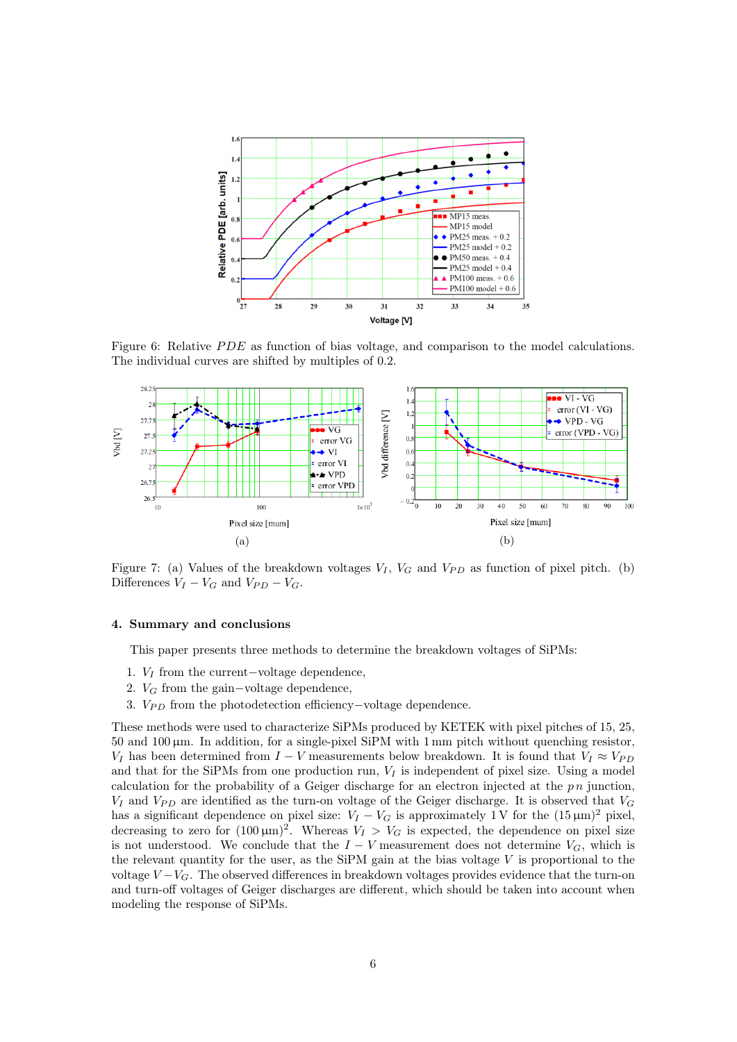<span id="page-5-2"></span>

Figure 6: Relative *PDE* as function of bias voltage, and comparison to the model calculations. The individual curves are shifted by multiples of 0.2.

<span id="page-5-1"></span>

Figure 7: (a) Values of the breakdown voltages  $V_I$ ,  $V_G$  and  $V_{PD}$  as function of pixel pitch. (b) Differences  $V_I - V_G$  and  $V_{PD} - V_G$ .

#### <span id="page-5-0"></span>4. Summary and conclusions

This paper presents three methods to determine the breakdown voltages of SiPMs:

- 1. V<sup>I</sup> from the current−voltage dependence,
- 2.  $V_G$  from the gain-voltage dependence,
- 3. V<sub>PD</sub> from the photodetection efficiency–voltage dependence.

These methods were used to characterize SiPMs produced by KETEK with pixel pitches of 15, 25,  $50$  and  $100 \mu m$ . In addition, for a single-pixel SiPM with 1 mm pitch without quenching resistor,  $V_I$  has been determined from  $I - V$  measurements below breakdown. It is found that  $V_I \approx V_{PD}$ and that for the SiPMs from one production run,  $V_I$  is independent of pixel size. Using a model calculation for the probability of a Geiger discharge for an electron injected at the  $p\,n$  junction,  $V_I$  and  $V_{PD}$  are identified as the turn-on voltage of the Geiger discharge. It is observed that  $V_G$ has a significant dependence on pixel size:  $V_I - V_G$  is approximately 1 V for the  $(15 \,\mu\text{m})^2$  pixel, decreasing to zero for  $(100 \,\mu\text{m})^2$ . Whereas  $V_I > V_G$  is expected, the dependence on pixel size is not understood. We conclude that the  $I - V$  measurement does not determine  $V_G$ , which is the relevant quantity for the user, as the SiPM gain at the bias voltage  $V$  is proportional to the voltage  $V - V_G$ . The observed differences in breakdown voltages provides evidence that the turn-on and turn-off voltages of Geiger discharges are different, which should be taken into account when modeling the response of SiPMs.